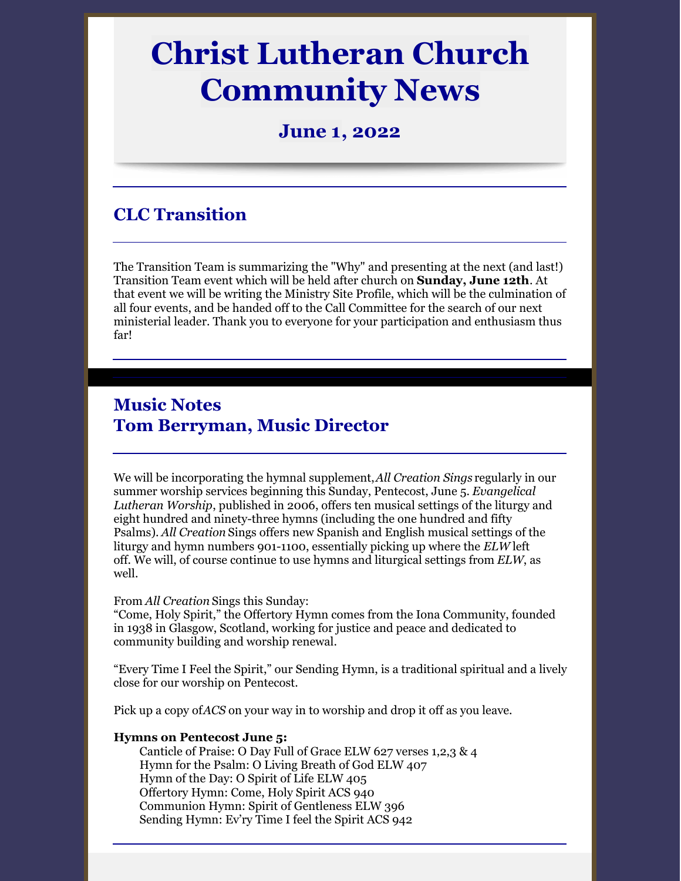# **Christ Lutheran Church Community News**

### **June 1, 2022**

# **CLC Transition**

The Transition Team is summarizing the "Why" and presenting at the next (and last!) Transition Team event which will be held after church on **Sunday, June 12th**. At that event we will be writing the Ministry Site Profile, which will be the culmination of all four events, and be handed off to the Call Committee for the search of our next ministerial leader. Thank you to everyone for your participation and enthusiasm thus far!

# **Music Notes Tom Berryman, Music Director**

We will be incorporating the hymnal supplement,*All Creation Sings* regularly in our summer worship services beginning this Sunday, Pentecost, June 5. *Evangelical Lutheran Worship*, published in 2006, offers ten musical settings of the liturgy and eight hundred and ninety-three hymns (including the one hundred and fifty Psalms). *All Creation* Sings offers new Spanish and English musical settings of the liturgy and hymn numbers 901-1100, essentially picking up where the *ELW* left off. We will, of course continue to use hymns and liturgical settings from *ELW*, as well.

#### From *All Creation* Sings this Sunday:

"Come, Holy Spirit," the Offertory Hymn comes from the Iona Community, founded in 1938 in Glasgow, Scotland, working for justice and peace and dedicated to community building and worship renewal.

"Every Time I Feel the Spirit," our Sending Hymn, is a traditional spiritual and a lively close for our worship on Pentecost.

Pick up a copy of*ACS* on your way in to worship and drop it off as you leave.

#### **Hymns on Pentecost June 5:**

Canticle of Praise: O Day Full of Grace ELW 627 verses 1,2,3 & 4 Hymn for the Psalm: O Living Breath of God ELW 407 Hymn of the Day: O Spirit of Life ELW 405 Offertory Hymn: Come, Holy Spirit ACS 940 Communion Hymn: Spirit of Gentleness ELW 396 Sending Hymn: Ev'ry Time I feel the Spirit ACS 942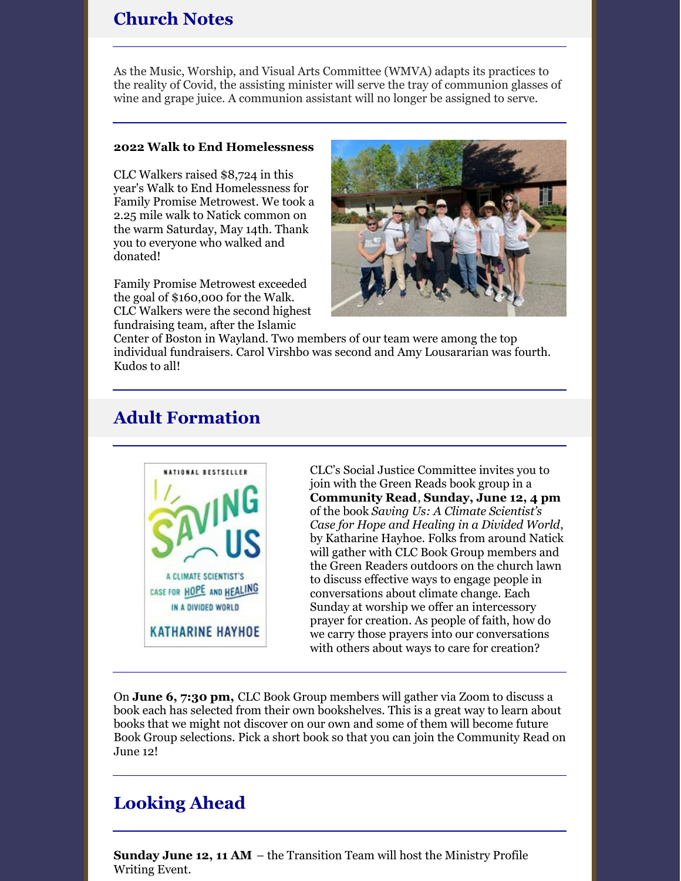## **Church Notes**

As the Music, Worship, and Visual Arts Committee (WMVA) adapts its practices to the reality of Covid, the assisting minister will serve the tray of communion glasses of wine and grape juice. A communion assistant will no longer be assigned to serve.

#### **2022 Walk to End Homelessness**

CLC Walkers raised \$8,724 in this year's Walk to End Homelessness for Family Promise Metrowest. We took a 2.25 mile walk to Natick common on the warm Saturday, May 14th. Thank you to everyone who walked and donated!

Family Promise Metrowest exceeded the goal of \$160,000 for the Walk. CLC Walkers were the second highest fundraising team, after the Islamic



Center of Boston in Wayland. Two members of our team were among the top individual fundraisers. Carol Virshbo was second and Amy Lousararian was fourth. Kudos to all!

# **Adult Formation**



CLC's Social Justice Committee invites you to join with the Green Reads book group in a **Community Read**, **Sunday, June 12, 4 pm** of the book *Saving Us: A Climate Scientist's Case for Hope and Healing in a Divided World*, by Katharine Hayhoe. Folks from around Natick will gather with CLC Book Group members and the Green Readers outdoors on the church lawn to discuss effective ways to engage people in conversations about climate change. Each Sunday at worship we offer an intercessory prayer for creation. As people of faith, how do we carry those prayers into our conversations with others about ways to care for creation?

On **June 6, 7:30 pm,** CLC Book Group members will gather via Zoom to discuss a book each has selected from their own bookshelves. This is a great way to learn about books that we might not discover on our own and some of them will become future Book Group selections. Pick a short book so that you can join the Community Read on June 12!

## **Looking Ahead**

**Sunday June 12, 11 AM** – the Transition Team will host the Ministry Profile Writing Event.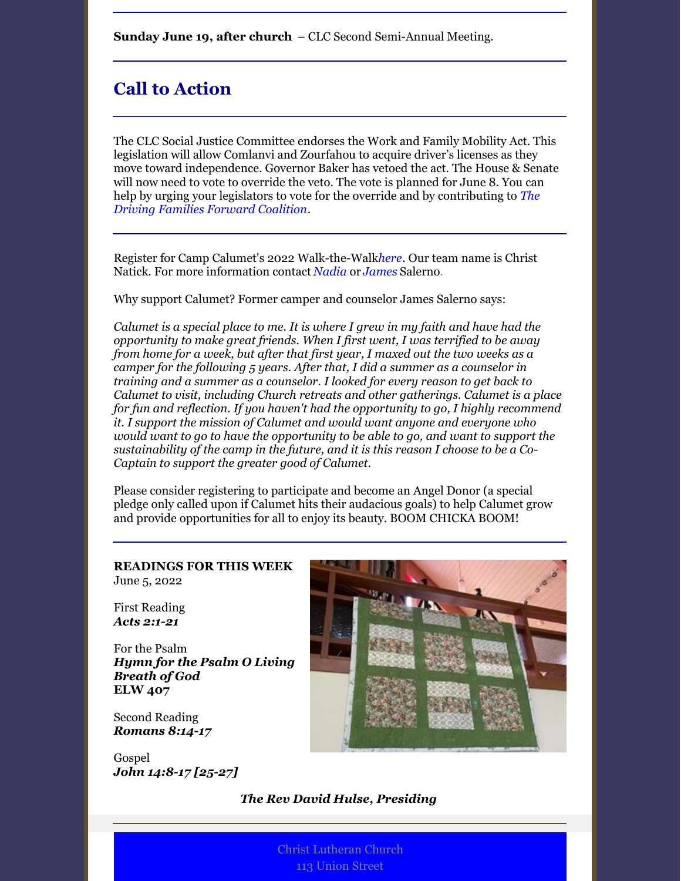**Sunday June 19, after church** – CLC Second Semi-Annual Meeting.

## **Call to Action**

The CLC Social Justice Committee endorses the Work and Family Mobility Act. This legislation will allow Comlanvi and Zourfahou to acquire driver's licenses as they move toward independence. Governor Baker has vetoed the act. The House & Senate will now need to vote to override the veto. The vote is planned for June 8. You can help by urging your legislators to vote for the override and by [contributing](https://actionnetwork.org/groups/driving-families-forward) to *The Driving Families Forward Coalition*.

Register for Camp Calumet's 2022 Walk-the-Walk*[here](https://www.calumet.org/giving/walkthewalk)*. Our team name is Christ Natick. For more information contact *[Nadia](mailto:nadials@comcast.net)* or *[James](mailto:salernojm@gmail.com)* Salerno.

Why support Calumet? Former camper and counselor James Salerno says:

*Calumet is a special place to me. It is where I grew in my faith and have had the opportunity to make great friends. When I first went, I was terrified to be away from home for a week, but after that first year, I maxed out the two weeks as a camper for the following 5 years. After that, I did a summer as a counselor in training and a summer as a counselor. I looked for every reason to get back to Calumet to visit, including Church retreats and other gatherings. Calumet is a place for fun and reflection. If you haven't had the opportunity to go, I highly recommend it. I support the mission of Calumet and would want anyone and everyone who would want to go to have the opportunity to be able to go, and want to support the sustainability of the camp in the future, and it is this reason I choose to be a Co-Captain to support the greater good of Calumet.*

Please consider registering to participate and become an Angel Donor (a special pledge only called upon if Calumet hits their audacious goals) to help Calumet grow and provide opportunities for all to enjoy its beauty. BOOM CHICKA BOOM!

#### **READINGS FOR THIS WEEK** June 5, 2022

First Reading *Acts [2:1-21](https://members.sundaysandseasons.com/#)*

For the Psalm *Hymn for the Psalm O Living Breath of God* **ELW 407**

Second Reading *[Romans](https://members.sundaysandseasons.com/#) 8:14-17*

Gospel *John 14:8-17 [\[25-27\]](https://members.sundaysandseasons.com/#)*



#### *The Rev David Hulse, Presiding*

Christ Lutheran Church 113 Union Street